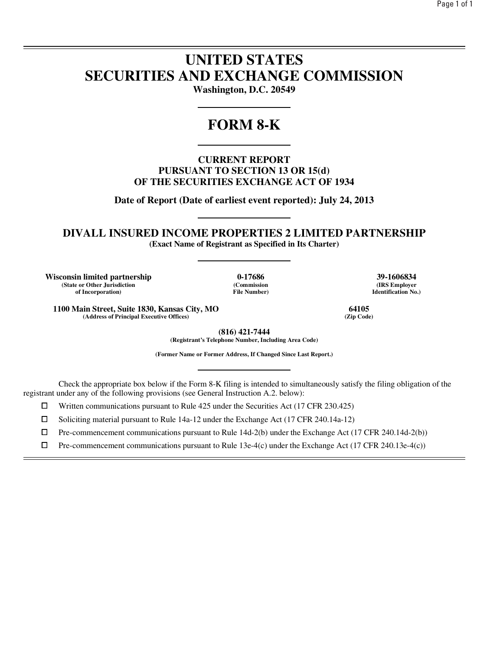# **UNITED STATES SECURITIES AND EXCHANGE COMMISSION**

**Washington, D.C. 20549** 

# **FORM 8-K**

**CURRENT REPORT PURSUANT TO SECTION 13 OR 15(d) OF THE SECURITIES EXCHANGE ACT OF 1934** 

**Date of Report (Date of earliest event reported): July 24, 2013** 

**DIVALL INSURED INCOME PROPERTIES 2 LIMITED PARTNERSHIP** 

**(Exact Name of Registrant as Specified in Its Charter)** 

**Wisconsin limited partnership 0-17686 39-1606834 (State or Other Jurisdiction of Incorporation)**

l

**(Commission File Number)**

**(IRS Employer Identification No.)**

**1100 Main Street, Suite 1830, Kansas City, MO 64105 (Address of Principal Executive Offices)** 

> **(816) 421-7444 (Registrant's Telephone Number, Including Area Code)**

**(Former Name or Former Address, If Changed Since Last Report.)** 

Check the appropriate box below if the Form 8-K filing is intended to simultaneously satisfy the filing obligation of the registrant under any of the following provisions (see General Instruction A.2. below):

 $□$  Written communications pursuant to Rule 425 under the Securities Act (17 CFR 230.425)<br>
□ Soliciting material pursuant to Rule 14a-12 under the Exchange Act (17 CFR 240.14a-12)

<p>□ Soliciting material pursuit to Rule 14a-12 under the Exchange Act (17 CFR 240.14a-12)</p>\n<p>□ Pre-component communications pursuit to Rule 14d-2(b) under the Exchange Act (17 CFR 240.14a-12)</p>

 $\Box$  Pre-commencement communications pursuant to Rule 14d-2(b) under the Exchange Act (17 CFR 240.14d-2(b))<br>  $\Box$  Pre-commencement communications pursuant to Rule 13e-4(c) under the Exchange Act (17 CFR 240.13e-4(c))

Pre-commencement communications pursuant to Rule 13e-4(c) under the Exchange Act (17 CFR 240.13e-4(c))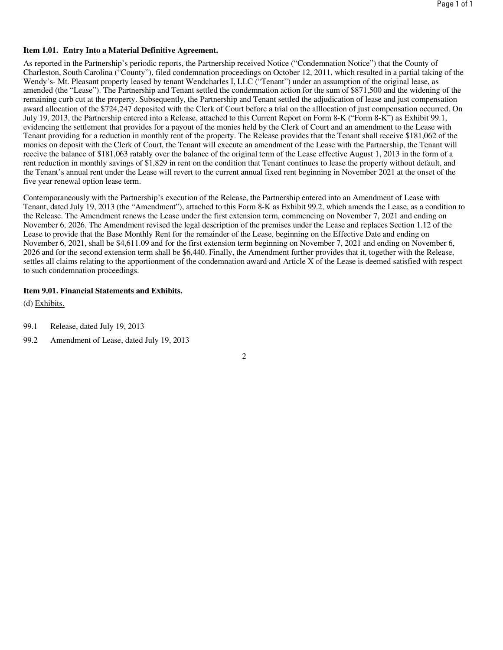# **Item 1.01. Entry Into a Material Definitive Agreement.**

As reported in the Partnership's periodic reports, the Partnership received Notice ("Condemnation Notice") that the County of Charleston, South Carolina ("County"), filed condemnation proceedings on October 12, 2011, which resulted in a partial taking of the Wendy's- Mt. Pleasant property leased by tenant Wendcharles I, LLC ("Tenant") under an assumption of the original lease, as amended (the "Lease"). The Partnership and Tenant settled the condemnation action for the sum of \$871,500 and the widening of the remaining curb cut at the property. Subsequently, the Partnership and Tenant settled the adjudication of lease and just compensation award allocation of the \$724,247 deposited with the Clerk of Court before a trial on the alllocation of just compensation occurred. On July 19, 2013, the Partnership entered into a Release, attached to this Current Report on Form 8-K ("Form 8-K") as Exhibit 99.1, evidencing the settlement that provides for a payout of the monies held by the Clerk of Court and an amendment to the Lease with Tenant providing for a reduction in monthly rent of the property. The Release provides that the Tenant shall receive \$181,062 of the monies on deposit with the Clerk of Court, the Tenant will execute an amendment of the Lease with the Partnership, the Tenant will receive the balance of \$181,063 ratably over the balance of the original term of the Lease effective August 1, 2013 in the form of a rent reduction in monthly savings of \$1,829 in rent on the condition that Tenant continues to lease the property without default, and the Tenant's annual rent under the Lease will revert to the current annual fixed rent beginning in November 2021 at the onset of the five year renewal option lease term.

Contemporaneously with the Partnership's execution of the Release, the Partnership entered into an Amendment of Lease with Tenant, dated July 19, 2013 (the "Amendment"), attached to this Form 8-K as Exhibit 99.2, which amends the Lease, as a condition to the Release. The Amendment renews the Lease under the first extension term, commencing on November 7, 2021 and ending on November 6, 2026. The Amendment revised the legal description of the premises under the Lease and replaces Section 1.12 of the Lease to provide that the Base Monthly Rent for the remainder of the Lease, beginning on the Effective Date and ending on November 6, 2021, shall be \$4,611.09 and for the first extension term beginning on November 7, 2021 and ending on November 6, 2026 and for the second extension term shall be \$6,440. Finally, the Amendment further provides that it, together with the Release, settles all claims relating to the apportionment of the condemnation award and Article X of the Lease is deemed satisfied with respect to such condemnation proceedings.

# **Item 9.01. Financial Statements and Exhibits.**

(d) Exhibits.

- 99.1 Release, dated July 19, 2013
- 99.2 Amendment of Lease, dated July 19, 2013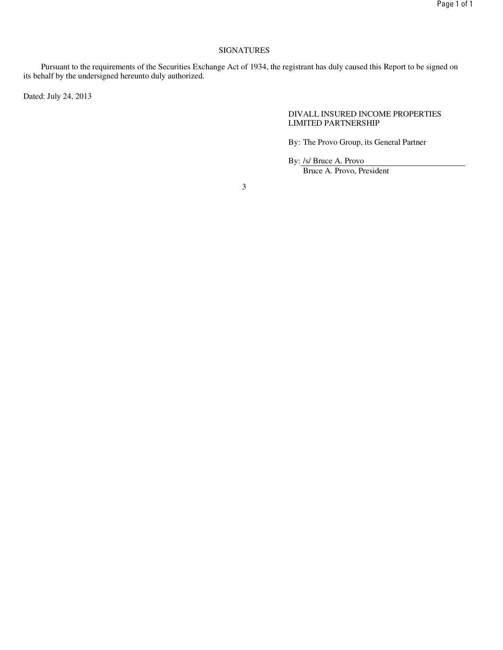# SIGNATURES

Pursuant to the requirements of the Securities Exchange Act of 1934, the registrant has duly caused this Report to be signed on its behalf by the undersigned hereunto duly authorized.

Dated: July 24, 2013

## DIVALL INSURED INCOME PROPERTIES LIMITED PARTNERSHIP

By: The Provo Group, its General Partner

By: /s/ Bruce A. Provo

Bruce A. Provo, President

3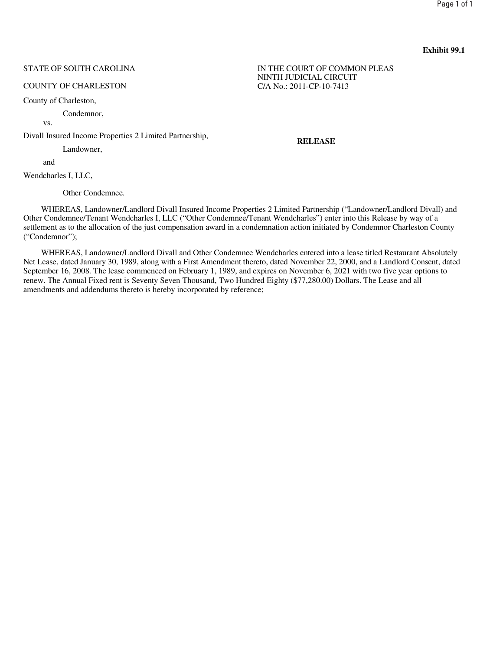# STATE OF SOUTH CAROLINA

#### COUNTY OF CHARLESTON

County of Charleston,

Condemnor,

vs.

Divall Insured Income Properties 2 Limited Partnership,

Landowner,

and

Wendcharles I, LLC,

Other Condemnee.

WHEREAS, Landowner/Landlord Divall Insured Income Properties 2 Limited Partnership ("Landowner/Landlord Divall) and Other Condemnee/Tenant Wendcharles I, LLC ("Other Condemnee/Tenant Wendcharles") enter into this Release by way of a settlement as to the allocation of the just compensation award in a condemnation action initiated by Condemnor Charleston County ("Condemnor");

WHEREAS, Landowner/Landlord Divall and Other Condemnee Wendcharles entered into a lease titled Restaurant Absolutely Net Lease, dated January 30, 1989, along with a First Amendment thereto, dated November 22, 2000, and a Landlord Consent, dated September 16, 2008. The lease commenced on February 1, 1989, and expires on November 6, 2021 with two five year options to renew. The Annual Fixed rent is Seventy Seven Thousand, Two Hundred Eighty (\$77,280.00) Dollars. The Lease and all amendments and addendums thereto is hereby incorporated by reference;

IN THE COURT OF COMMON PLEAS NINTH JUDICIAL CIRCUIT C/A No.: 2011-CP-10-7413

**RELEASE**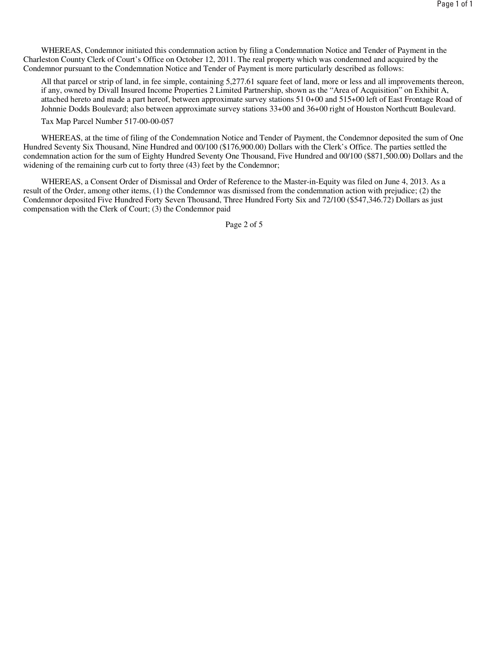WHEREAS, Condemnor initiated this condemnation action by filing a Condemnation Notice and Tender of Payment in the Charleston County Clerk of Court's Office on October 12, 2011. The real property which was condemned and acquired by the Condemnor pursuant to the Condemnation Notice and Tender of Payment is more particularly described as follows:

All that parcel or strip of land, in fee simple, containing 5,277.61 square feet of land, more or less and all improvements thereon, if any, owned by Divall Insured Income Properties 2 Limited Partnership, shown as the "Area of Acquisition" on Exhibit A, attached hereto and made a part hereof, between approximate survey stations 51 0+00 and 515+00 left of East Frontage Road of Johnnie Dodds Boulevard; also between approximate survey stations 33+00 and 36+00 right of Houston Northcutt Boulevard.

Tax Map Parcel Number 517-00-00-057

WHEREAS, at the time of filing of the Condemnation Notice and Tender of Payment, the Condemnor deposited the sum of One Hundred Seventy Six Thousand, Nine Hundred and 00/100 (\$176,900.00) Dollars with the Clerk's Office. The parties settled the condemnation action for the sum of Eighty Hundred Seventy One Thousand, Five Hundred and 00/100 (\$871,500.00) Dollars and the widening of the remaining curb cut to forty three (43) feet by the Condemnor;

WHEREAS, a Consent Order of Dismissal and Order of Reference to the Master-in-Equity was filed on June 4, 2013. As a result of the Order, among other items, (1) the Condemnor was dismissed from the condemnation action with prejudice; (2) the Condemnor deposited Five Hundred Forty Seven Thousand, Three Hundred Forty Six and 72/100 (\$547,346.72) Dollars as just compensation with the Clerk of Court; (3) the Condemnor paid

Page 2 of 5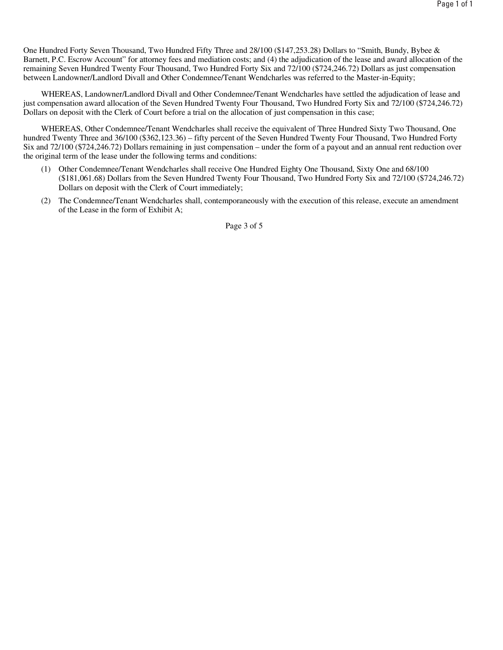One Hundred Forty Seven Thousand, Two Hundred Fifty Three and 28/100 (\$147,253.28) Dollars to "Smith, Bundy, Bybee & Barnett, P.C. Escrow Account" for attorney fees and mediation costs; and (4) the adjudication of the lease and award allocation of the remaining Seven Hundred Twenty Four Thousand, Two Hundred Forty Six and 72/100 (\$724,246.72) Dollars as just compensation between Landowner/Landlord Divall and Other Condemnee/Tenant Wendcharles was referred to the Master-in-Equity;

WHEREAS, Landowner/Landlord Divall and Other Condemnee/Tenant Wendcharles have settled the adjudication of lease and just compensation award allocation of the Seven Hundred Twenty Four Thousand, Two Hundred Forty Six and 72/100 (\$724,246.72) Dollars on deposit with the Clerk of Court before a trial on the allocation of just compensation in this case;

WHEREAS, Other Condemnee/Tenant Wendcharles shall receive the equivalent of Three Hundred Sixty Two Thousand, One hundred Twenty Three and 36/100 (\$362,123.36) – fifty percent of the Seven Hundred Twenty Four Thousand, Two Hundred Forty Six and 72/100 (\$724,246.72) Dollars remaining in just compensation – under the form of a payout and an annual rent reduction over the original term of the lease under the following terms and conditions:

- (1) Other Condemnee/Tenant Wendcharles shall receive One Hundred Eighty One Thousand, Sixty One and 68/100 (\$181,061.68) Dollars from the Seven Hundred Twenty Four Thousand, Two Hundred Forty Six and 72/100 (\$724,246.72) Dollars on deposit with the Clerk of Court immediately;
- (2) The Condemnee/Tenant Wendcharles shall, contemporaneously with the execution of this release, execute an amendment of the Lease in the form of Exhibit A;

Page 3 of 5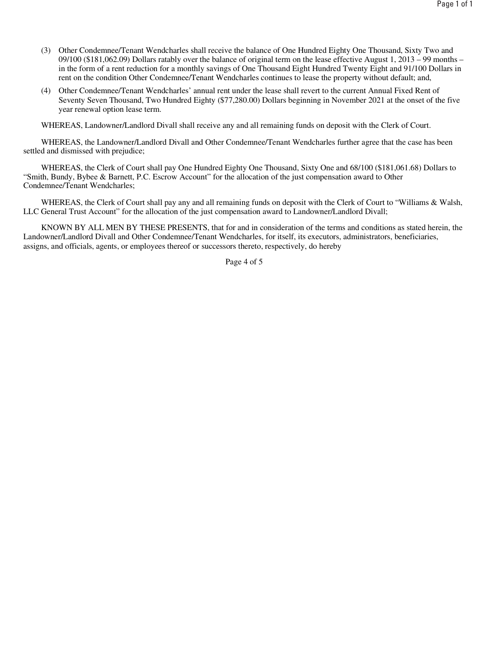- (3) Other Condemnee/Tenant Wendcharles shall receive the balance of One Hundred Eighty One Thousand, Sixty Two and 09/100 (\$181,062.09) Dollars ratably over the balance of original term on the lease effective August 1, 2013 – 99 months – in the form of a rent reduction for a monthly savings of One Thousand Eight Hundred Twenty Eight and 91/100 Dollars in rent on the condition Other Condemnee/Tenant Wendcharles continues to lease the property without default; and,
- (4) Other Condemnee/Tenant Wendcharles' annual rent under the lease shall revert to the current Annual Fixed Rent of Seventy Seven Thousand, Two Hundred Eighty (\$77,280.00) Dollars beginning in November 2021 at the onset of the five year renewal option lease term.

WHEREAS, Landowner/Landlord Divall shall receive any and all remaining funds on deposit with the Clerk of Court.

WHEREAS, the Landowner/Landlord Divall and Other Condemnee/Tenant Wendcharles further agree that the case has been settled and dismissed with prejudice;

WHEREAS, the Clerk of Court shall pay One Hundred Eighty One Thousand, Sixty One and 68/100 (\$181,061.68) Dollars to "Smith, Bundy, Bybee & Barnett, P.C. Escrow Account" for the allocation of the just compensation award to Other Condemnee/Tenant Wendcharles;

WHEREAS, the Clerk of Court shall pay any and all remaining funds on deposit with the Clerk of Court to "Williams & Walsh, LLC General Trust Account" for the allocation of the just compensation award to Landowner/Landlord Divall;

KNOWN BY ALL MEN BY THESE PRESENTS, that for and in consideration of the terms and conditions as stated herein, the Landowner/Landlord Divall and Other Condemnee/Tenant Wendcharles, for itself, its executors, administrators, beneficiaries, assigns, and officials, agents, or employees thereof or successors thereto, respectively, do hereby

Page 4 of 5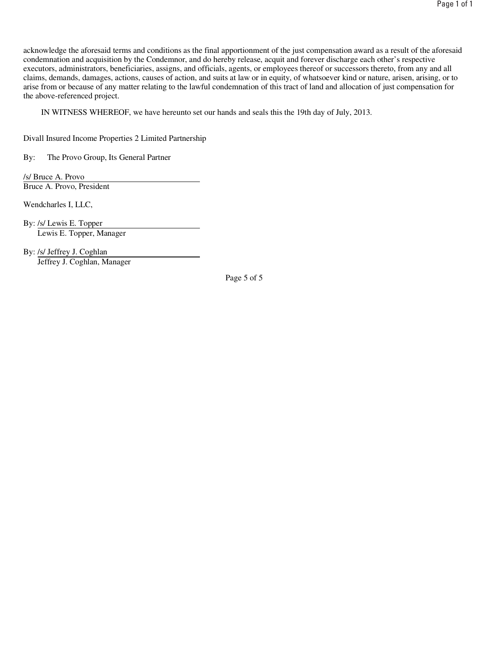acknowledge the aforesaid terms and conditions as the final apportionment of the just compensation award as a result of the aforesaid condemnation and acquisition by the Condemnor, and do hereby release, acquit and forever discharge each other's respective executors, administrators, beneficiaries, assigns, and officials, agents, or employees thereof or successors thereto, from any and all claims, demands, damages, actions, causes of action, and suits at law or in equity, of whatsoever kind or nature, arisen, arising, or to arise from or because of any matter relating to the lawful condemnation of this tract of land and allocation of just compensation for the above-referenced project.

IN WITNESS WHEREOF, we have hereunto set our hands and seals this the 19th day of July, 2013.

Divall Insured Income Properties 2 Limited Partnership

By: The Provo Group, Its General Partner

/s/ Bruce A. Provo Bruce A. Provo, President

Wendcharles I, LLC,

By: /s/ Lewis E. Topper Lewis E. Topper, Manager

By: /s/ Jeffrey J. Coghlan Jeffrey J. Coghlan, Manager

Page 5 of 5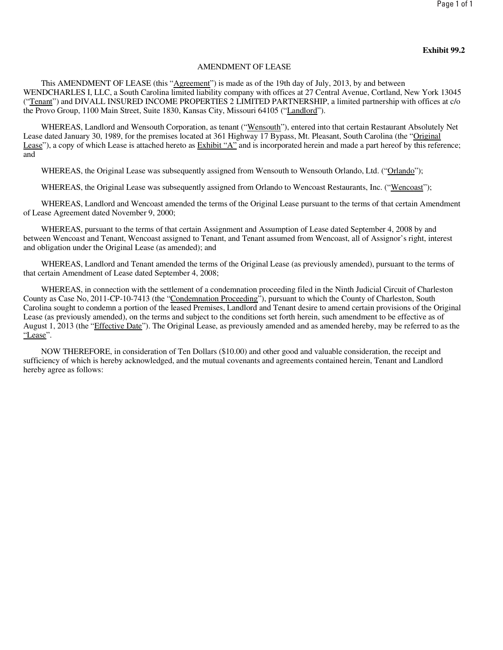#### AMENDMENT OF LEASE

This AMENDMENT OF LEASE (this "Agreement") is made as of the 19th day of July, 2013, by and between WENDCHARLES I, LLC, a South Carolina limited liability company with offices at 27 Central Avenue, Cortland, New York 13045 ("Tenant") and DIVALL INSURED INCOME PROPERTIES 2 LIMITED PARTNERSHIP, a limited partnership with offices at c/o the Provo Group, 1100 Main Street, Suite 1830, Kansas City, Missouri 64105 ("Landlord").

WHEREAS, Landlord and Wensouth Corporation, as tenant ("Wensouth"), entered into that certain Restaurant Absolutely Net Lease dated January 30, 1989, for the premises located at 361 Highway 17 Bypass, Mt. Pleasant, South Carolina (the "Original Lease"), a copy of which Lease is attached hereto as Exhibit "A" and is incorporated herein and made a part hereof by this reference; and

WHEREAS, the Original Lease was subsequently assigned from Wensouth to Wensouth Orlando, Ltd. ("Orlando");

WHEREAS, the Original Lease was subsequently assigned from Orlando to Wencoast Restaurants, Inc. ("Wencoast");

WHEREAS, Landlord and Wencoast amended the terms of the Original Lease pursuant to the terms of that certain Amendment of Lease Agreement dated November 9, 2000;

WHEREAS, pursuant to the terms of that certain Assignment and Assumption of Lease dated September 4, 2008 by and between Wencoast and Tenant, Wencoast assigned to Tenant, and Tenant assumed from Wencoast, all of Assignor's right, interest and obligation under the Original Lease (as amended); and

WHEREAS, Landlord and Tenant amended the terms of the Original Lease (as previously amended), pursuant to the terms of that certain Amendment of Lease dated September 4, 2008;

WHEREAS, in connection with the settlement of a condemnation proceeding filed in the Ninth Judicial Circuit of Charleston County as Case No, 2011-CP-10-7413 (the "Condemnation Proceeding"), pursuant to which the County of Charleston, South Carolina sought to condemn a portion of the leased Premises, Landlord and Tenant desire to amend certain provisions of the Original Lease (as previously amended), on the terms and subject to the conditions set forth herein, such amendment to be effective as of August 1, 2013 (the "Effective Date"). The Original Lease, as previously amended and as amended hereby, may be referred to as the "Lease".

NOW THEREFORE, in consideration of Ten Dollars (\$10.00) and other good and valuable consideration, the receipt and sufficiency of which is hereby acknowledged, and the mutual covenants and agreements contained herein, Tenant and Landlord hereby agree as follows: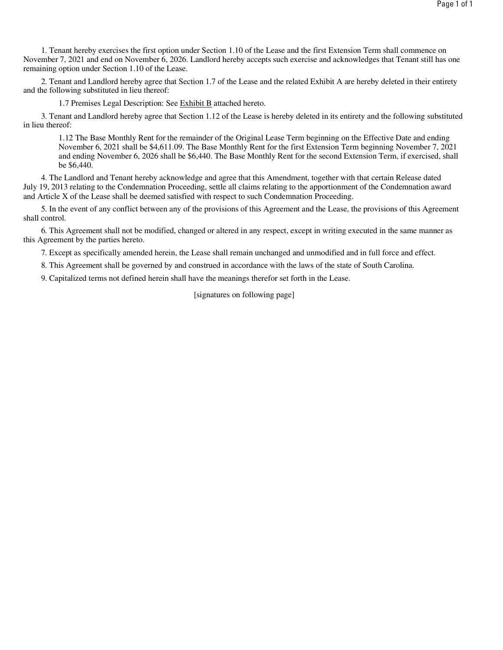1. Tenant hereby exercises the first option under Section 1.10 of the Lease and the first Extension Term shall commence on November 7, 2021 and end on November 6, 2026. Landlord hereby accepts such exercise and acknowledges that Tenant still has one remaining option under Section 1.10 of the Lease.

2. Tenant and Landlord hereby agree that Section 1.7 of the Lease and the related Exhibit A are hereby deleted in their entirety and the following substituted in lieu thereof:

1.7 Premises Legal Description: See Exhibit B attached hereto.

3. Tenant and Landlord hereby agree that Section 1.12 of the Lease is hereby deleted in its entirety and the following substituted in lieu thereof:

1.12 The Base Monthly Rent for the remainder of the Original Lease Term beginning on the Effective Date and ending November 6, 2021 shall be \$4,611.09. The Base Monthly Rent for the first Extension Term beginning November 7, 2021 and ending November 6, 2026 shall be \$6,440. The Base Monthly Rent for the second Extension Term, if exercised, shall be \$6,440.

4. The Landlord and Tenant hereby acknowledge and agree that this Amendment, together with that certain Release dated July 19, 2013 relating to the Condemnation Proceeding, settle all claims relating to the apportionment of the Condemnation award and Article X of the Lease shall be deemed satisfied with respect to such Condemnation Proceeding.

5. In the event of any conflict between any of the provisions of this Agreement and the Lease, the provisions of this Agreement shall control.

6. This Agreement shall not be modified, changed or altered in any respect, except in writing executed in the same manner as this Agreement by the parties hereto.

7. Except as specifically amended herein, the Lease shall remain unchanged and unmodified and in full force and effect.

8. This Agreement shall be governed by and construed in accordance with the laws of the state of South Carolina.

9. Capitalized terms not defined herein shall have the meanings therefor set forth in the Lease.

[signatures on following page]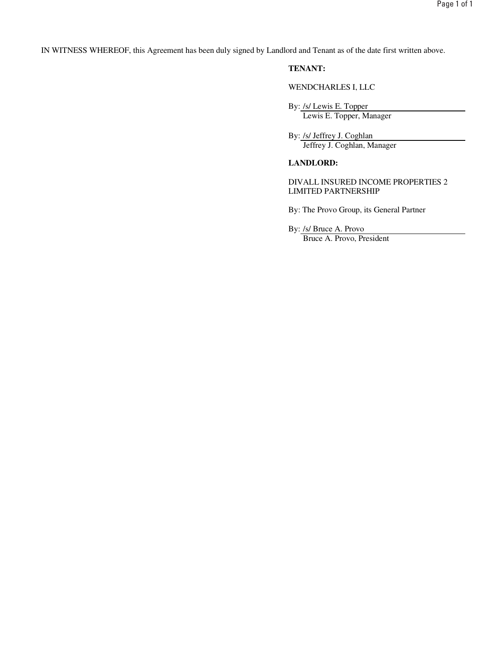IN WITNESS WHEREOF, this Agreement has been duly signed by Landlord and Tenant as of the date first written above.

# **TENANT:**

WENDCHARLES I, LLC

By: /s/ Lewis E. Topper Lewis E. Topper, Manager

By: /s/ Jeffrey J. Coghlan Jeffrey J. Coghlan, Manager

# **LANDLORD:**

DIVALL INSURED INCOME PROPERTIES 2 LIMITED PARTNERSHIP

By: The Provo Group, its General Partner

By: /s/ Bruce A. Provo

Bruce A. Provo, President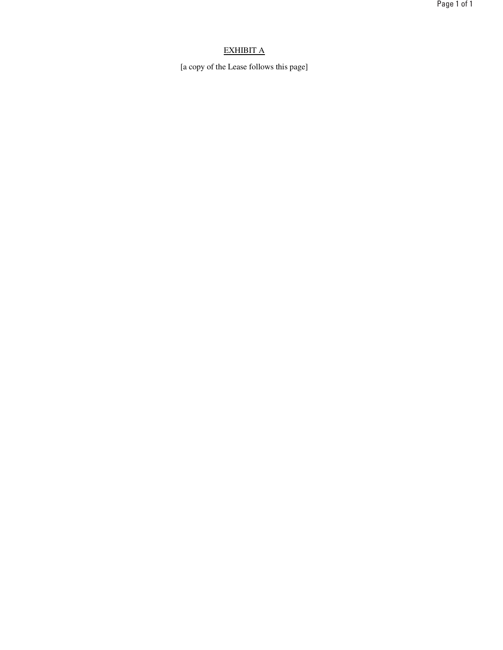# EXHIBIT A

[a copy of the Lease follows this page]